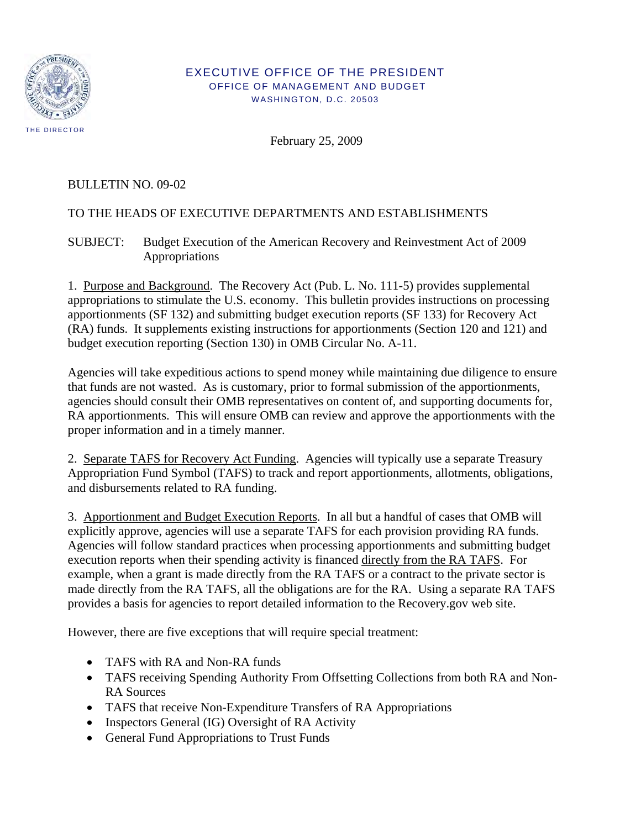

## EXECUTIVE OFFICE OF THE PRESIDENT OFFICE OF MANAGEMENT AND BUDGET WASHINGTON, D.C. 20503

February 25, 2009

## BULLETIN NO. 09-02

## TO THE HEADS OF EXECUTIVE DEPARTMENTS AND ESTABLISHMENTS

SUBJECT: Budget Execution of the American Recovery and Reinvestment Act of 2009 Appropriations

1. Purpose and Background. The Recovery Act (Pub. L. No. 111-5) provides supplemental appropriations to stimulate the U.S. economy. This bulletin provides instructions on processing apportionments (SF 132) and submitting budget execution reports (SF 133) for Recovery Act (RA) funds. It supplements existing instructions for apportionments (Section 120 and 121) and budget execution reporting (Section 130) in OMB Circular No. A-11.

Agencies will take expeditious actions to spend money while maintaining due diligence to ensure that funds are not wasted. As is customary, prior to formal submission of the apportionments, agencies should consult their OMB representatives on content of, and supporting documents for, RA apportionments. This will ensure OMB can review and approve the apportionments with the proper information and in a timely manner.

2. Separate TAFS for Recovery Act Funding. Agencies will typically use a separate Treasury Appropriation Fund Symbol (TAFS) to track and report apportionments, allotments, obligations, and disbursements related to RA funding.

3. Apportionment and Budget Execution Reports. In all but a handful of cases that OMB will explicitly approve, agencies will use a separate TAFS for each provision providing RA funds. Agencies will follow standard practices when processing apportionments and submitting budget execution reports when their spending activity is financed directly from the RA TAFS. For example, when a grant is made directly from the RA TAFS or a contract to the private sector is made directly from the RA TAFS, all the obligations are for the RA. Using a separate RA TAFS provides a basis for agencies to report detailed information to the Recovery.gov web site.

However, there are five exceptions that will require special treatment:

- TAFS with RA and Non-RA funds
- TAFS receiving Spending Authority From Offsetting Collections from both RA and Non-RA Sources
- TAFS that receive Non-Expenditure Transfers of RA Appropriations
- Inspectors General (IG) Oversight of RA Activity
- General Fund Appropriations to Trust Funds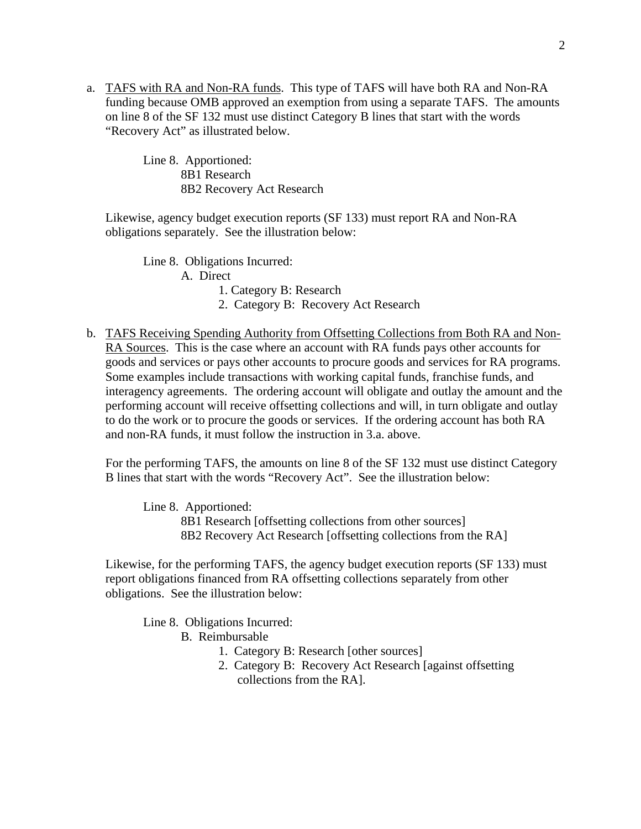a. TAFS with RA and Non-RA funds. This type of TAFS will have both RA and Non-RA funding because OMB approved an exemption from using a separate TAFS. The amounts on line 8 of the SF 132 must use distinct Category B lines that start with the words "Recovery Act" as illustrated below.

> Line 8. Apportioned: 8B1 Research 8B2 Recovery Act Research

Likewise, agency budget execution reports (SF 133) must report RA and Non-RA obligations separately. See the illustration below:

 Line 8. Obligations Incurred: A. Direct

1. Category B: Research

2. Category B: Recovery Act Research

b. TAFS Receiving Spending Authority from Offsetting Collections from Both RA and Non-RA Sources. This is the case where an account with RA funds pays other accounts for goods and services or pays other accounts to procure goods and services for RA programs. Some examples include transactions with working capital funds, franchise funds, and interagency agreements. The ordering account will obligate and outlay the amount and the performing account will receive offsetting collections and will, in turn obligate and outlay to do the work or to procure the goods or services. If the ordering account has both RA and non-RA funds, it must follow the instruction in 3.a. above.

For the performing TAFS, the amounts on line 8 of the SF 132 must use distinct Category B lines that start with the words "Recovery Act". See the illustration below:

 Line 8. Apportioned: 8B1 Research [offsetting collections from other sources] 8B2 Recovery Act Research [offsetting collections from the RA]

Likewise, for the performing TAFS, the agency budget execution reports (SF 133) must report obligations financed from RA offsetting collections separately from other obligations. See the illustration below:

Line 8. Obligations Incurred:

B. Reimbursable

- 1. Category B: Research [other sources]
- 2. Category B: Recovery Act Research [against offsetting collections from the RA].